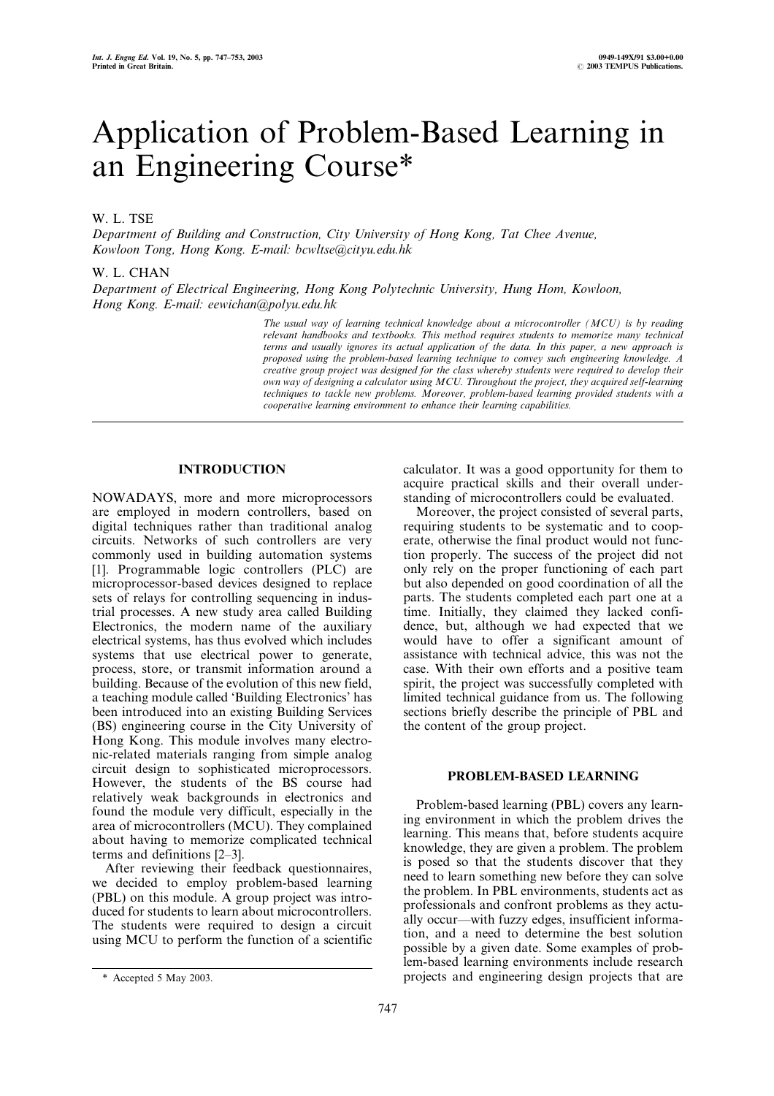# Application of Problem-Based Learning in an Engineering Course\*

# W. L. TSE

Department of Building and Construction, City University of Hong Kong, Tat Chee Avenue, Kowloon Tong, Hong Kong. E-mail: bcwltse@cityu.edu.hk

## W. L. CHAN

Department of Electrical Engineering, Hong Kong Polytechnic University, Hung Hom, Kowloon, Hong Kong. E-mail: eewichan@polyu.edu.hk

> The usual way of learning technical knowledge about a microcontroller (MCU) is by reading relevant handbooks and textbooks. This method requires students to memorize many technical terms and usually ignores its actual application of the data. In this paper, a new approach is proposed using the problem-based learning technique to convey such engineering knowledge. A creative group project was designed for the class whereby students were required to develop their own way of designing a calculator using MCU. Throughout the project, they acquired self-learning techniques to tackle new problems. Moreover, problem-based learning provided students with a cooperative learning environment to enhance their learning capabilities.

# INTRODUCTION

NOWADAYS, more and more microprocessors are employed in modern controllers, based on digital techniques rather than traditional analog circuits. Networks of such controllers are very commonly used in building automation systems [1]. Programmable logic controllers (PLC) are microprocessor-based devices designed to replace sets of relays for controlling sequencing in industrial processes. A new study area called Building Electronics, the modern name of the auxiliary electrical systems, has thus evolved which includes systems that use electrical power to generate, process, store, or transmit information around a building. Because of the evolution of this new field, a teaching module called `Building Electronics' has been introduced into an existing Building Services (BS) engineering course in the City University of Hong Kong. This module involves many electronic-related materials ranging from simple analog circuit design to sophisticated microprocessors. However, the students of the BS course had relatively weak backgrounds in electronics and found the module very difficult, especially in the area of microcontrollers (MCU). They complained about having to memorize complicated technical terms and definitions  $[2-3]$ .

After reviewing their feedback questionnaires, we decided to employ problem-based learning (PBL) on this module. A group project was introduced for students to learn about microcontrollers. The students were required to design a circuit using MCU to perform the function of a scientific calculator. It was a good opportunity for them to acquire practical skills and their overall understanding of microcontrollers could be evaluated.

Moreover, the project consisted of several parts, requiring students to be systematic and to cooperate, otherwise the final product would not function properly. The success of the project did not only rely on the proper functioning of each part but also depended on good coordination of all the parts. The students completed each part one at a time. Initially, they claimed they lacked confidence, but, although we had expected that we would have to offer a significant amount of assistance with technical advice, this was not the case. With their own efforts and a positive team spirit, the project was successfully completed with limited technical guidance from us. The following sections briefly describe the principle of PBL and the content of the group project.

# PROBLEM-BASED LEARNING

Problem-based learning (PBL) covers any learning environment in which the problem drives the learning. This means that, before students acquire knowledge, they are given a problem. The problem is posed so that the students discover that they need to learn something new before they can solve the problem. In PBL environments, students act as professionals and confront problems as they actually occur—with fuzzy edges, insufficient information, and a need to determine the best solution possible by a given date. Some examples of problem-based learning environments include research \* Accepted 5 May 2003. projects and engineering design projects that are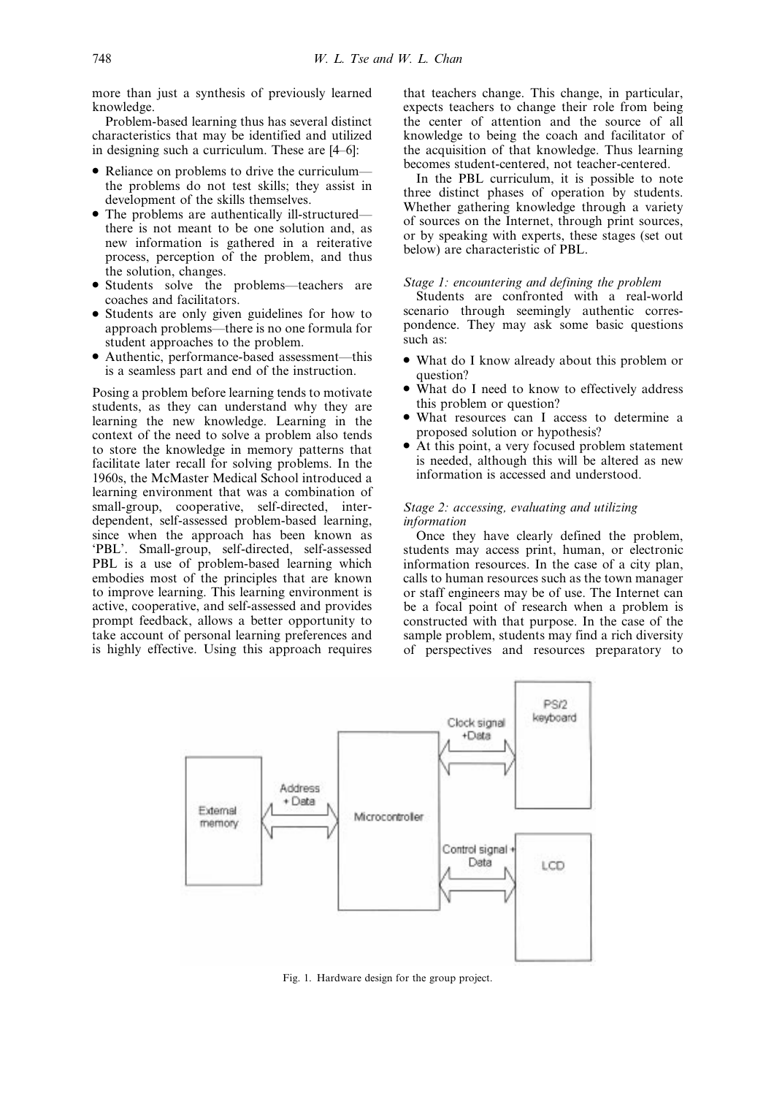more than just a synthesis of previously learned knowledge.

Problem-based learning thus has several distinct characteristics that may be identified and utilized in designing such a curriculum. These are  $[4–6]$ :

- Reliance on problems to drive the curriculum the problems do not test skills; they assist in development of the skills themselves.
- The problems are authentically ill-structured there is not meant to be one solution and, as new information is gathered in a reiterative process, perception of the problem, and thus the solution, changes.
- Students solve the problems—teachers are coaches and facilitators.
- . Students are only given guidelines for how to approach problems—there is no one formula for student approaches to the problem.
- Authentic, performance-based assessment—this is a seamless part and end of the instruction.

Posing a problem before learning tends to motivate students, as they can understand why they are learning the new knowledge. Learning in the context of the need to solve a problem also tends to store the knowledge in memory patterns that facilitate later recall for solving problems. In the 1960s, the McMaster Medical School introduced a learning environment that was a combination of small-group, cooperative, self-directed, interdependent, self-assessed problem-based learning, since when the approach has been known as `PBL'. Small-group, self-directed, self-assessed PBL is a use of problem-based learning which embodies most of the principles that are known to improve learning. This learning environment is active, cooperative, and self-assessed and provides prompt feedback, allows a better opportunity to take account of personal learning preferences and is highly effective. Using this approach requires that teachers change. This change, in particular, expects teachers to change their role from being the center of attention and the source of all knowledge to being the coach and facilitator of the acquisition of that knowledge. Thus learning becomes student-centered, not teacher-centered.

In the PBL curriculum, it is possible to note three distinct phases of operation by students. Whether gathering knowledge through a variety of sources on the Internet, through print sources, or by speaking with experts, these stages (set out below) are characteristic of PBL.

## Stage 1: encountering and defining the problem

Students are confronted with a real-world scenario through seemingly authentic correspondence. They may ask some basic questions such as:

- . What do I know already about this problem or question?
- . What do I need to know to effectively address this problem or question?
- . What resources can I access to determine a proposed solution or hypothesis?
- . At this point, a very focused problem statement is needed, although this will be altered as new information is accessed and understood.

# Stage 2: accessing, evaluating and utilizing information

Once they have clearly defined the problem, students may access print, human, or electronic information resources. In the case of a city plan, calls to human resources such as the town manager or staff engineers may be of use. The Internet can be a focal point of research when a problem is constructed with that purpose. In the case of the sample problem, students may find a rich diversity of perspectives and resources preparatory to



Fig. 1. Hardware design for the group project.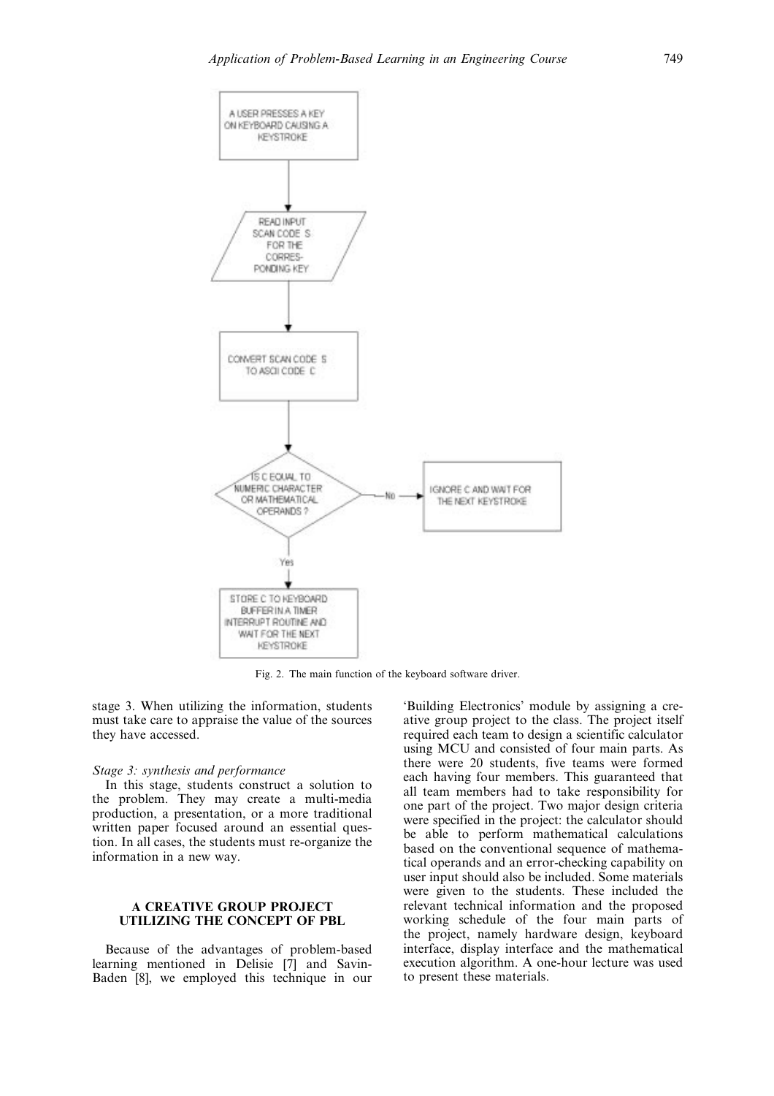

Fig. 2. The main function of the keyboard software driver.

stage 3. When utilizing the information, students must take care to appraise the value of the sources they have accessed.

#### Stage 3: synthesis and performance

In this stage, students construct a solution to the problem. They may create a multi-media production, a presentation, or a more traditional written paper focused around an essential question. In all cases, the students must re-organize the information in a new way.

# A CREATIVE GROUP PROJECT UTILIZING THE CONCEPT OF PBL

Because of the advantages of problem-based learning mentioned in Delisie [7] and Savin-Baden [8], we employed this technique in our `Building Electronics' module by assigning a creative group project to the class. The project itself required each team to design a scientific calculator using MCU and consisted of four main parts. As there were 20 students, five teams were formed each having four members. This guaranteed that all team members had to take responsibility for one part of the project. Two major design criteria were specified in the project: the calculator should be able to perform mathematical calculations based on the conventional sequence of mathematical operands and an error-checking capability on user input should also be included. Some materials were given to the students. These included the relevant technical information and the proposed working schedule of the four main parts of the project, namely hardware design, keyboard interface, display interface and the mathematical execution algorithm. A one-hour lecture was used to present these materials.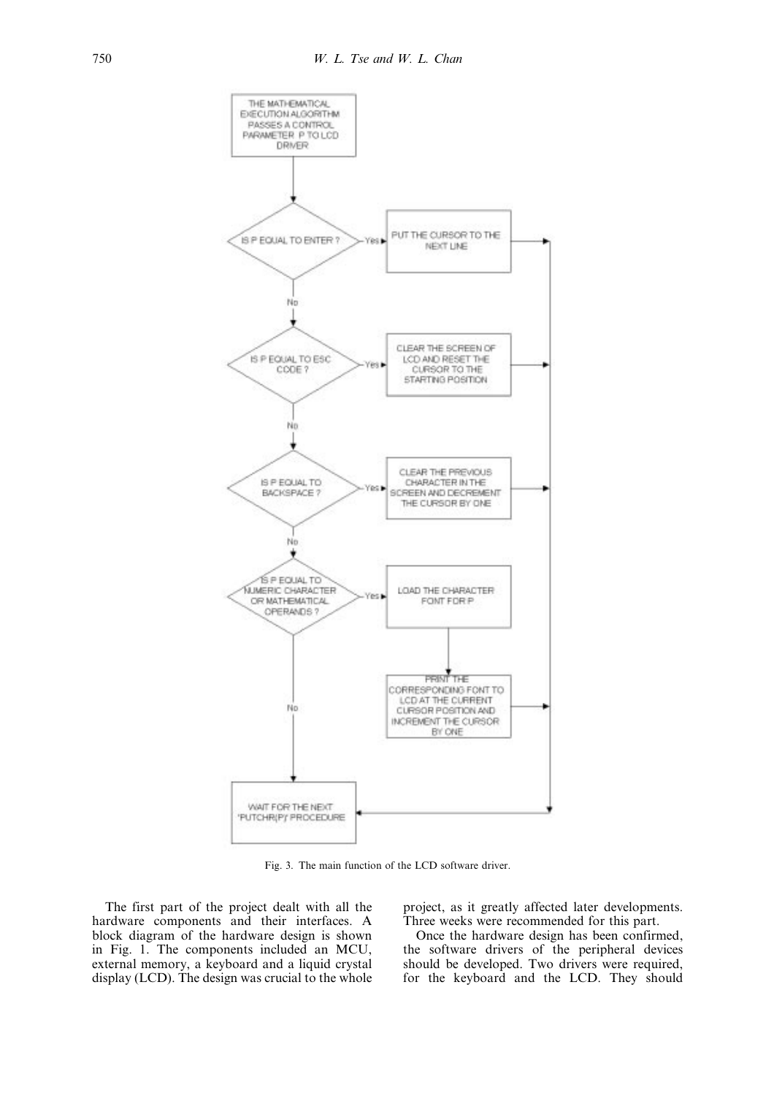

Fig. 3. The main function of the LCD software driver.

The first part of the project dealt with all the hardware components and their interfaces. A block diagram of the hardware design is shown in Fig. 1. The components included an MCU, external memory, a keyboard and a liquid crystal display (LCD). The design was crucial to the whole project, as it greatly affected later developments. Three weeks were recommended for this part.

Once the hardware design has been confirmed, the software drivers of the peripheral devices should be developed. Two drivers were required, for the keyboard and the LCD. They should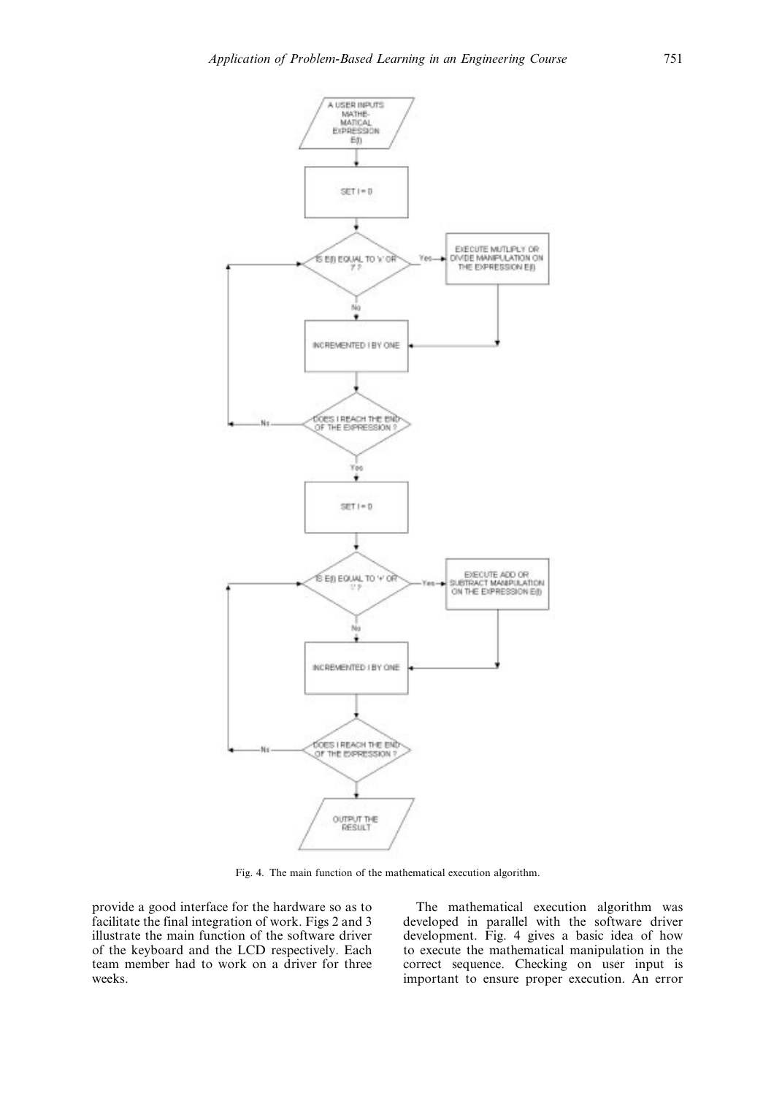

Fig. 4. The main function of the mathematical execution algorithm.

provide a good interface for the hardware so as to facilitate the final integration of work. Figs 2 and 3 illustrate the main function of the software driver of the keyboard and the LCD respectively. Each team member had to work on a driver for three weeks.

The mathematical execution algorithm was developed in parallel with the software driver development. Fig. 4 gives a basic idea of how to execute the mathematical manipulation in the correct sequence. Checking on user input is important to ensure proper execution. An error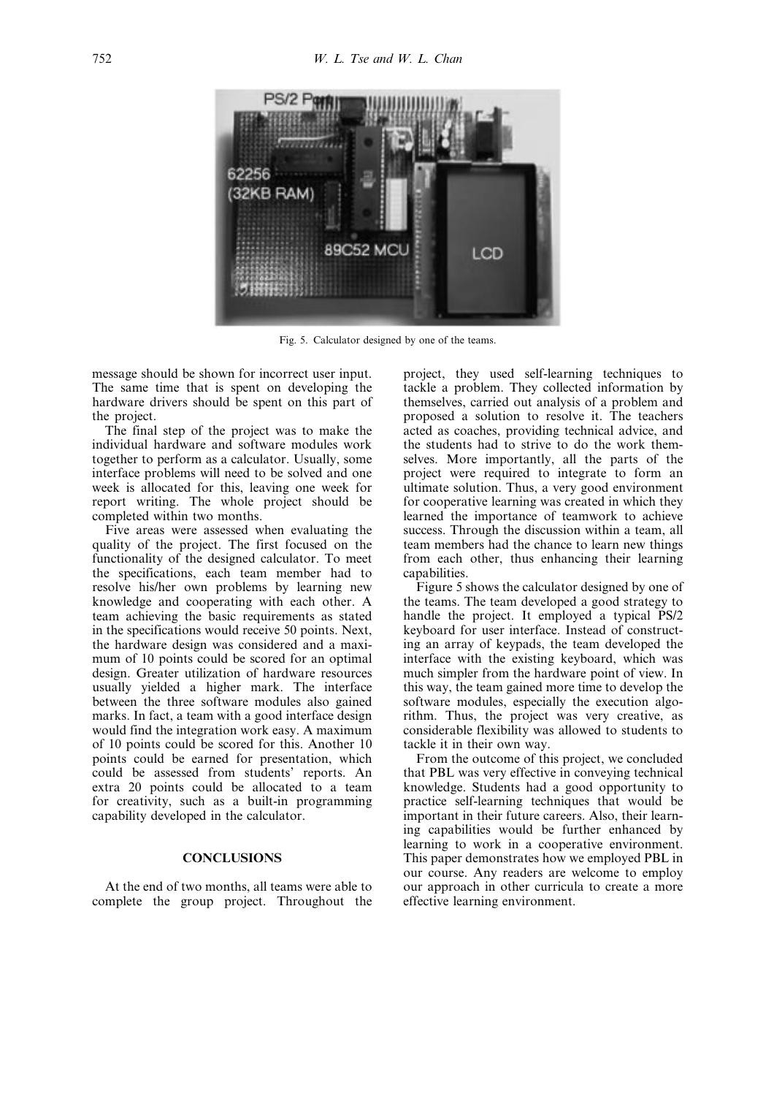

Fig. 5. Calculator designed by one of the teams.

message should be shown for incorrect user input. The same time that is spent on developing the hardware drivers should be spent on this part of the project.

The final step of the project was to make the individual hardware and software modules work together to perform as a calculator. Usually, some interface problems will need to be solved and one week is allocated for this, leaving one week for report writing. The whole project should be completed within two months.

Five areas were assessed when evaluating the quality of the project. The first focused on the functionality of the designed calculator. To meet the specifications, each team member had to resolve his/her own problems by learning new knowledge and cooperating with each other. A team achieving the basic requirements as stated in the specifications would receive 50 points. Next, the hardware design was considered and a maximum of 10 points could be scored for an optimal design. Greater utilization of hardware resources usually yielded a higher mark. The interface between the three software modules also gained marks. In fact, a team with a good interface design would find the integration work easy. A maximum of 10 points could be scored for this. Another 10 points could be earned for presentation, which could be assessed from students' reports. An extra 20 points could be allocated to a team for creativity, such as a built-in programming capability developed in the calculator.

## **CONCLUSIONS**

At the end of two months, all teams were able to complete the group project. Throughout the project, they used self-learning techniques to tackle a problem. They collected information by themselves, carried out analysis of a problem and proposed a solution to resolve it. The teachers acted as coaches, providing technical advice, and the students had to strive to do the work themselves. More importantly, all the parts of the project were required to integrate to form an ultimate solution. Thus, a very good environment for cooperative learning was created in which they learned the importance of teamwork to achieve success. Through the discussion within a team, all team members had the chance to learn new things from each other, thus enhancing their learning capabilities.

Figure 5 shows the calculator designed by one of the teams. The team developed a good strategy to handle the project. It employed a typical PS/2 keyboard for user interface. Instead of constructing an array of keypads, the team developed the interface with the existing keyboard, which was much simpler from the hardware point of view. In this way, the team gained more time to develop the software modules, especially the execution algorithm. Thus, the project was very creative, as considerable flexibility was allowed to students to tackle it in their own way.

From the outcome of this project, we concluded that PBL was very effective in conveying technical knowledge. Students had a good opportunity to practice self-learning techniques that would be important in their future careers. Also, their learning capabilities would be further enhanced by learning to work in a cooperative environment. This paper demonstrates how we employed PBL in our course. Any readers are welcome to employ our approach in other curricula to create a more effective learning environment.